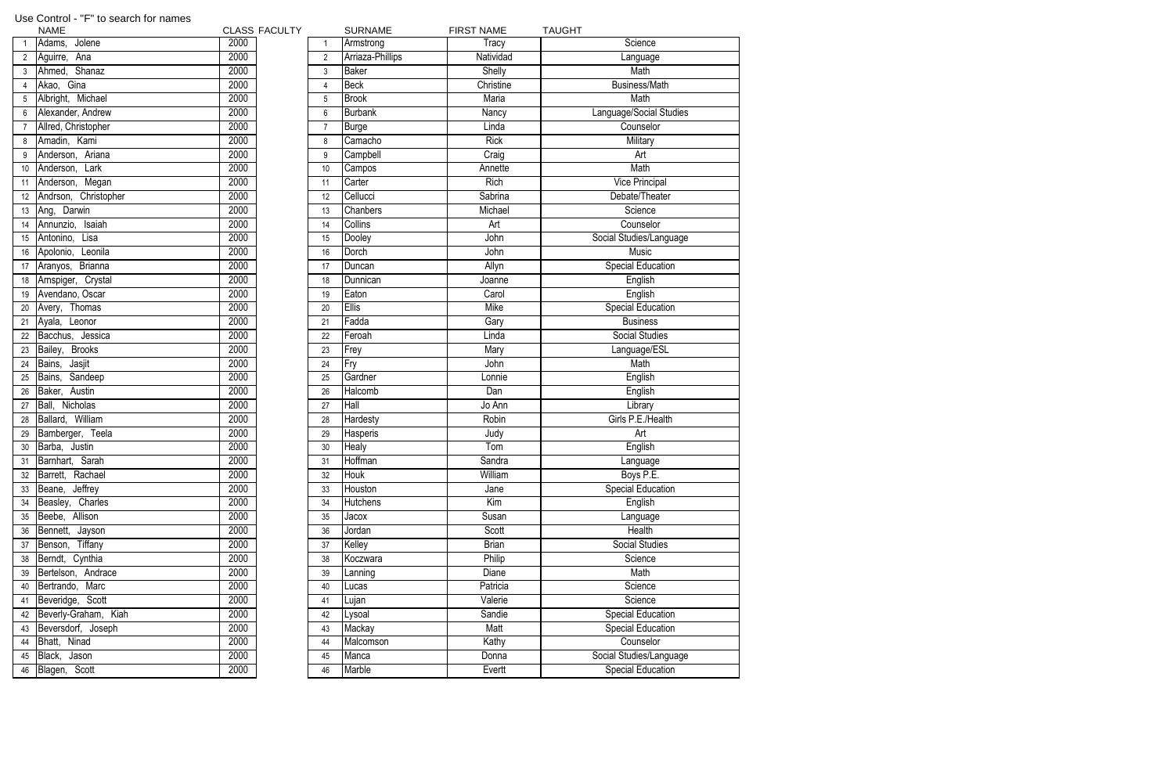|    | <b>NAME</b>             | <b>CLASS FACULTY</b> |                 | <b>SURNAME</b>   | <b>FIRST NAME</b> | <b>TAUGHT</b>            |
|----|-------------------------|----------------------|-----------------|------------------|-------------------|--------------------------|
|    | Adams, Jolene           | 2000                 | $\mathbf{1}$    | Armstrong        | Tracy             | Science                  |
|    | Aguirre, Ana            | 2000                 | $\overline{2}$  | Arriaza-Phillips | Natividad         | Language                 |
| 3  | Ahmed, Shanaz           | 2000                 | $\mathfrak{Z}$  | <b>Baker</b>     | Shelly            | Math                     |
|    | Akao, Gina              | 2000                 | 4               | <b>Beck</b>      | Christine         | <b>Business/Math</b>     |
|    | Albright, Michael       | 2000                 | $\overline{5}$  | <b>Brook</b>     | Maria             | Math                     |
|    | Alexander, Andrew       | 2000                 | $6\phantom{.}6$ | <b>Burbank</b>   | Nancy             | Language/Social Studies  |
|    | Allred, Christopher     | 2000                 | $\overline{7}$  | <b>Burge</b>     | Linda             | Counselor                |
| 8  | Amadin, Kami            | 2000                 | 8               | Camacho          | <b>Rick</b>       | Military                 |
|    | Anderson, Ariana        | 2000                 | 9               | Campbell         | Craig             | Art                      |
| 10 | Anderson, Lark          | 2000                 | 10              | Campos           | Annette           | Math                     |
|    | 11 Anderson, Megan      | 2000                 | 11              | Carter           | <b>Rich</b>       | Vice Principal           |
|    | 12 Andrson, Christopher | 2000                 | 12              | Cellucci         | Sabrina           | Debate/Theater           |
|    | 13 Ang, Darwin          | 2000                 | 13              | Chanbers         | Michael           | Science                  |
| 14 | Annunzio, Isaiah        | 2000                 | 14              | Collins          | Art               | Counselor                |
| 15 | Antonino,<br>Lisa       | 2000                 | 15              | Dooley           | John              | Social Studies/Language  |
| 16 | Leonila<br>Apolonio,    | 2000                 | 16              | Dorch            | John              | <b>Music</b>             |
| 17 | Aranyos, Brianna        | 2000                 | 17              | Duncan           | Allyn             | <b>Special Education</b> |
|    | 18 Arnspiger, Crystal   | 2000                 | 18              | Dunnican         | Joanne            | English                  |
| 19 | Avendano, Oscar         | 2000                 | 19              | Eaton            | Carol             | English                  |
| 20 | Avery, Thomas           | 2000                 | 20              | <b>Ellis</b>     | Mike              | <b>Special Education</b> |
| 21 | Ayala, Leonor           | 2000                 | 21              | Fadda            | Gary              | <b>Business</b>          |
| 22 | Bacchus, Jessica        | 2000                 | 22              | Feroah           | Linda             | <b>Social Studies</b>    |
| 23 | Bailey, Brooks          | 2000                 | 23              | Frey             | Mary              | Language/ESL             |
| 24 | Bains, Jasjit           | 2000                 | 24              | Fry              | John              | Math                     |
| 25 | Bains, Sandeep          | 2000                 | 25              | Gardner          | Lonnie            | English                  |
| 26 | Baker, Austin           | 2000                 | 26              | Halcomb          | Dan               | English                  |
| 27 | Ball, Nicholas          | 2000                 | 27              | Hall             | Jo Ann            | Library                  |
| 28 | Ballard, William        | 2000                 | 28              | Hardesty         | Robin             | Girls P.E./Health        |
| 29 | Bamberger, Teela        | 2000                 | 29              | Hasperis         | Judy              | Art                      |
|    | 30 Barba, Justin        | 2000                 | 30 <sup>°</sup> | Healy            | Tom               | English                  |
|    | Barnhart, Sarah         | 2000                 | 31              | Hoffman          | Sandra            | Language                 |
|    | 32 Barrett, Rachael     | 2000                 | 32              | Houk             | William           | Boys P.E.                |
| 33 | Beane, Jeffrey          | 2000                 | 33              | Houston          | Jane              | Special Education        |
| 34 | Charles<br>Beasley,     | 2000                 | 34              | <b>Hutchens</b>  | Kim               | English                  |
| 35 | Beebe, Allison          | 2000                 | 35              | Jacox            | Susan             | Language                 |
| 36 | Bennett, Jayson         | 2000                 | 36              | Jordan           | Scott             | Health                   |
| 37 | Benson, Tiffany         | 2000                 | 37              | Kelley           | <b>Brian</b>      | <b>Social Studies</b>    |
| 38 | Berndt, Cynthia         | 2000                 | 38              | Koczwara         | Philip            | Science                  |
| 39 | Bertelson, Andrace      | 2000                 | 39              | Lanning          | Diane             | Math                     |
| 40 | Bertrando, Marc         | 2000                 | 40              | Lucas            | Patricia          | Science                  |
|    | 41 Beveridge, Scott     | 2000                 | 41              | Lujan            | Valerie           | Science                  |
|    | 42 Beverly-Graham, Kiah | 2000                 | 42              | _ysoal           | Sandie            | <b>Special Education</b> |
|    | 43 Beversdorf, Joseph   | 2000                 | 43              | Mackay           | Matt              | Special Education        |
|    | 44 Bhatt, Ninad         | 2000                 | 44              | Malcomson        | Kathy             | Counselor                |
| 45 | Black,<br>Jason         | 2000                 | 45              | Manca            | Donna             | Social Studies/Language  |
|    | 46 Blagen, Scott        | 2000                 | 46              | Marble           | Evertt            | <b>Special Education</b> |
|    |                         |                      |                 |                  |                   |                          |

## Use Control - "F" to search for names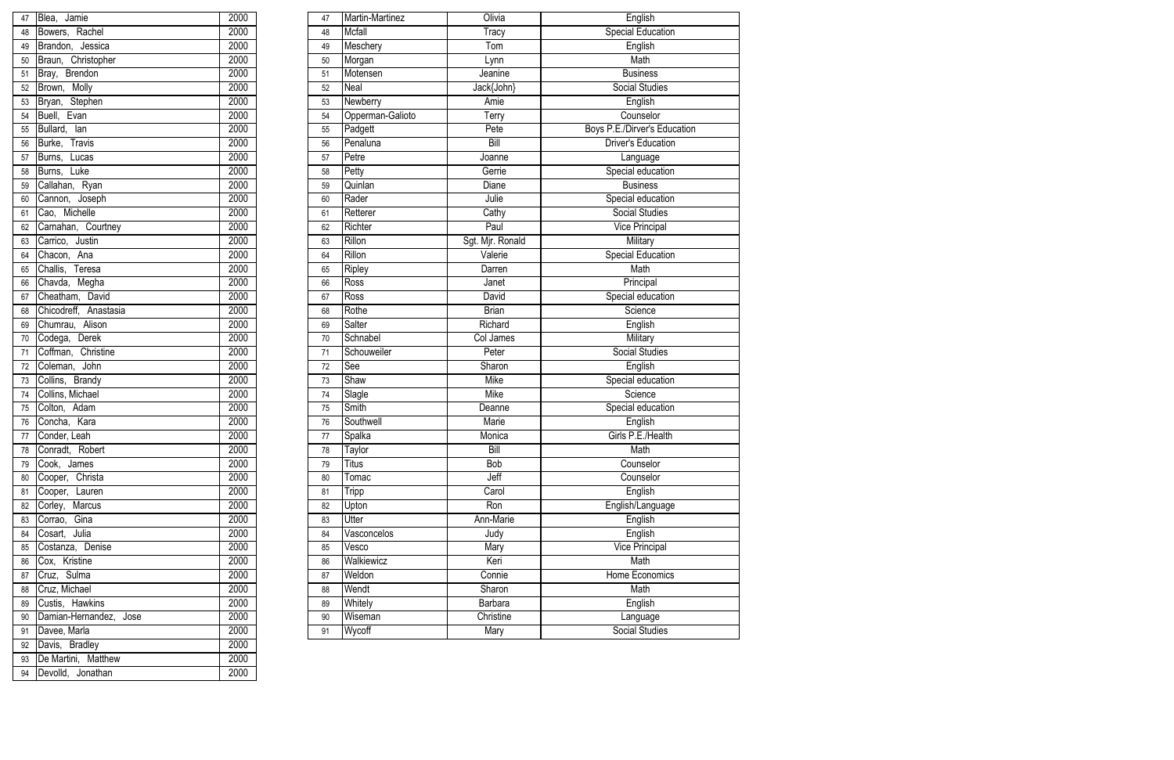| 47              | Blea, Jamie              | 2000 | 47 | Martin-Martinez  | Olivia              | English                      |
|-----------------|--------------------------|------|----|------------------|---------------------|------------------------------|
| 48              | Bowers, Rachel           | 2000 | 48 | <b>Mcfall</b>    | Tracy               | <b>Special Education</b>     |
| 49              | Brandon, Jessica         | 2000 | 49 | Meschery         | Tom                 | English                      |
| 50              | Braun, Christopher       | 2000 | 50 | Morgan           | Lynn                | Math                         |
| 51              | <b>Brendon</b><br>Bray,  | 2000 | 51 | Motensen         | Jeanine             | <b>Business</b>              |
| 52              | Brown, Molly             | 2000 | 52 | Neal             | Jack{John}          | Social Studies               |
| 53              | Stephen<br>Bryan,        | 2000 | 53 | <b>Newberry</b>  | Amie                | English                      |
| 54              | Evan<br>Buell,           | 2000 | 54 | Opperman-Galioto | $\overline{T}$ erry | Counselor                    |
| 55              | Bullard,<br>lan          | 2000 | 55 | Padgett          | Pete                | Boys P.E./Dirver's Education |
| 56              | Burke,<br>Travis         | 2000 | 56 | Penaluna         | Bill                | <b>Driver's Education</b>    |
| 57              | Burns,<br>Lucas          | 2000 | 57 | Petre            | Joanne              | Language                     |
| 58              | Burns, Luke              | 2000 | 58 | Petty            | Gerrie              | Special education            |
| 59              | Callahan, Ryan           | 2000 | 59 | Quinlan          | Diane               | <b>Business</b>              |
| 60              | Cannon, Joseph           | 2000 | 60 | Rader            | Julie               | Special education            |
| 61              | Cao, Michelle            | 2000 | 61 | Retterer         | Cathy               | <b>Social Studies</b>        |
| 62              | Carnahan, Courtney       | 2000 | 62 | Richter          | Paul                | <b>Vice Principal</b>        |
| 63              | Carrico, Justin          | 2000 | 63 | Rillon           | Sgt. Mjr. Ronald    | Military                     |
| 64              | Chacon, Ana              | 2000 | 64 | Rillon           | Valerie             | <b>Special Education</b>     |
| 65              | Challis,<br>Teresa       | 2000 | 65 | Ripley           | Darren              | Math                         |
| 66              | Megha<br>Chavda,         | 2000 | 66 | Ross             | Janet               | Principal                    |
| 67              | Cheatham, David          | 2000 | 67 | Ross             | David               | Special education            |
| 68              | Chicodreff,<br>Anastasia | 2000 | 68 | Rothe            | <b>Brian</b>        | Science                      |
| 69              | Chumrau, Alison          | 2000 | 69 | <b>Salter</b>    | Richard             | English                      |
| 70              | Derek<br>Codega,         | 2000 | 70 | Schnabel         | Col James           | Military                     |
| 71              | Coffman, Christine       | 2000 | 71 | Schouweiler      | Peter               | <b>Social Studies</b>        |
| 72 <sub>2</sub> | Coleman, John            | 2000 | 72 | See              | Sharon              | English                      |
| 73              | Collins, Brandy          | 2000 | 73 | Shaw             | <b>Mike</b>         | Special education            |
|                 | Collins, Michael         | 2000 | 74 | Slagle           | Mike                | Science                      |
| 75              | Colton, Adam             | 2000 | 75 | Smith            | Deanne              | Special education            |
| 76              | Concha, Kara             | 2000 | 76 | Southwell        | Marie               | English                      |
| 77              | Conder, Leah             | 2000 | 77 | Spalka           | Monica              | Girls P.E./Health            |
| 78              | Conradt, Robert          | 2000 | 78 | Taylor           | Bill                | Math                         |
| $\overline{79}$ | Cook, James              | 2000 | 79 | <b>Titus</b>     | Bob                 | Counselor                    |
| 80              | Christa<br>Cooper,       | 2000 | 80 | Tomac            | Jeff                | Counselor                    |
| 81              | Cooper,<br>Lauren        | 2000 | 81 | <b>Tripp</b>     | Carol               | English                      |
| 82              | Marcus<br>Corley,        | 2000 | 82 | Upton            | Ron                 | English/Language             |
| 83              | Corrao, Gina             | 2000 | 83 | <b>Utter</b>     | Ann-Marie           | English                      |
| 84              | Cosart, Julia            | 2000 | 84 | Vasconcelos      | Judy                | English                      |
| 85              | Costanza, Denise         | 2000 | 85 | Vesco            | Mary                | <b>Vice Principal</b>        |
| 86              | Cox, Kristine            | 2000 | 86 | Walkiewicz       | Keri                | Math                         |
| 87              | Sulma<br>Cruz,           | 2000 | 87 | Weldon           | Connie              | Home Economics               |
| 88              | Cruz, Michael            | 2000 | 88 | Wendt            | Sharon              | Math                         |
| 89              | Custis, Hawkins          | 2000 | 89 | Whitely          | Barbara             | English                      |
| 90              | Damian-Hernandez, Jose   | 2000 | 90 | Wiseman          | Christine           | Language                     |
| 91              | Davee, Marla             | 2000 | 91 | Wycoff           | Mary                | Social Studies               |

| 47 | Blea, Jamie            | 2000             |
|----|------------------------|------------------|
| 48 | Bowers, Rachel         | 2000             |
| 49 | Brandon, Jessica       | $\frac{1}{2000}$ |
| 50 | Braun, Christopher     | 2000             |
| 51 | Bray, Brendon          | 2000             |
| 52 | Brown, Molly           | 2000             |
| 53 | Bryan, Stephen         | 2000             |
| 54 | Buell, Evan            | 2000             |
| 55 | Bullard, lan           | 2000             |
| 56 | Burke, Travis          | 2000             |
| 57 | Burns, Lucas           | 2000             |
| 58 | Burns, Luke            | 2000             |
| 59 | Callahan, Ryan         | 2000             |
| 60 | Cannon, Joseph         | 2000             |
| 61 | Cao, Michelle          | 2000             |
| 62 | Carnahan, Courtney     | 2000             |
| 63 | Carrico, Justin        | 2000             |
| 64 | Chacon, Ana            | 2000             |
| 65 | Challis, Teresa        | 2000             |
| 66 | Chavda, Megha          | 2000             |
| 67 | Cheatham, David        | 2000             |
| 68 | Chicodreff, Anastasia  | 2000             |
| 69 | Chumrau, Alison        | 2000             |
| 70 | Codega, Derek          | 2000             |
| 71 | Coffman, Christine     | 2000             |
| 72 | Coleman, John          | 2000             |
| 73 | Collins, Brandy        | 2000             |
| 74 | Collins, Michael       | 2000             |
| 75 | Colton, Adam           | 2000             |
| 76 | Concha, Kara           | 2000             |
| 77 | Conder, Leah           | 2000             |
| 78 | Conradt, Robert        | 2000             |
| 79 | Cook, James            | 2000             |
| 80 | Cooper, Christa        | 2000             |
| 81 | Cooper, Lauren         | 2000             |
| 82 | Corley, Marcus         | 2000             |
| 83 | Corrao, Gina           | 2000             |
| 84 | Cosart, Julia          | 2000             |
| 85 | Costanza, Denise       | 2000             |
| 86 | Cox, Kristine          | 2000             |
| 87 | Cruz, Sulma            | 2000             |
| 88 | Cruz, Michael          | 2000             |
| 89 | Custis, Hawkins        | 2000             |
| 90 | Damian-Hernandez, Jose | 2000             |
| 91 | Davee, Marla           | 2000             |
| 92 | Davis, Bradley         | 2000             |
| 93 | De Martini, Matthew    | 2000             |
| 94 | Devolld, Jonathan      | 2000             |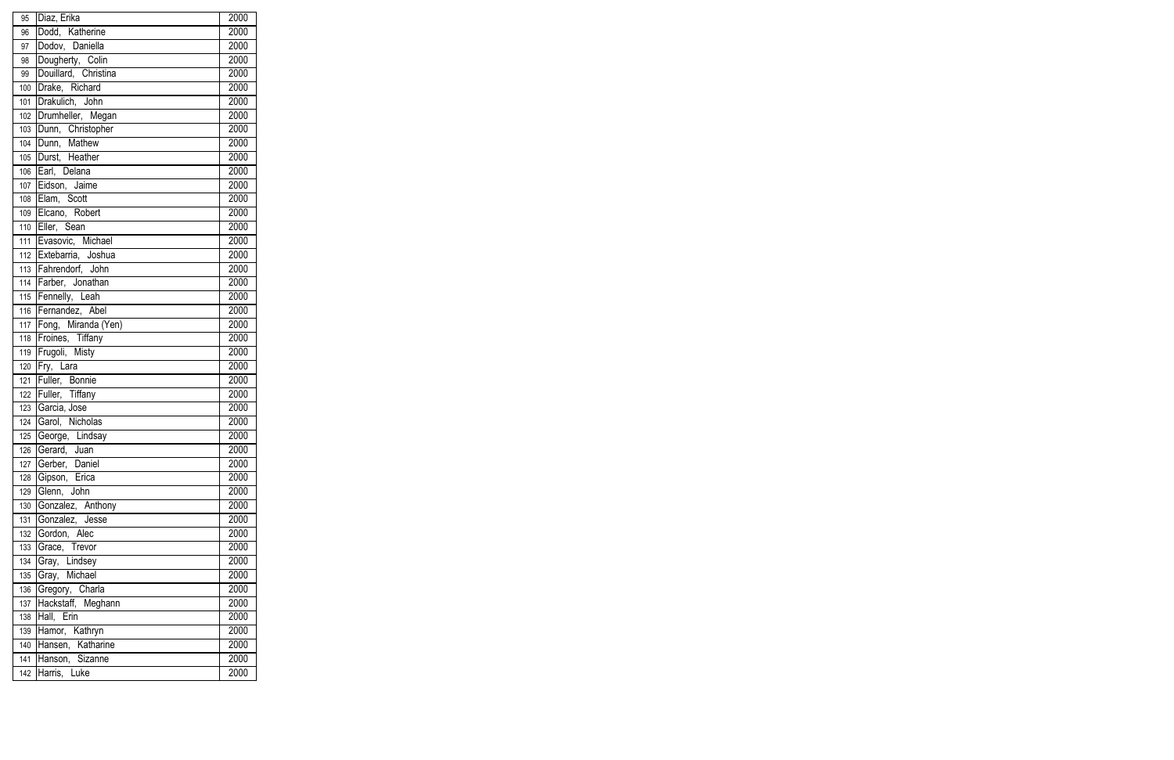| 95  | Diaz, Erika            | 2000             |
|-----|------------------------|------------------|
| 96  | Dodd, Katherine        | 2000             |
| 97  | Dodov, Daniella        | 2000             |
| 98  | Dougherty, Colin       | 2000             |
| 99  | Douillard, Christina   | 2000             |
|     | 100 Drake, Richard     | 2000             |
| 101 | Drakulich, John        | 2000             |
| 102 | Drumheller, Megan      | 2000             |
| 103 | Dunn, Christopher      | 2000             |
| 104 | Dunn, Mathew           | 2000             |
| 105 | Durst, Heather         | 2000             |
| 106 | Earl, Delana           | 2000             |
| 107 | Eidson, Jaime          | 2000             |
| 108 | Elam, Scott            | $\frac{1}{2000}$ |
| 109 | Elcano, Robert         | 2000             |
| 110 | Eller, Sean            | 2000             |
|     | 111 Evasovic, Michael  | 2000             |
|     | 112 Extebarria, Joshua | 2000             |
|     | 113 Fahrendorf, John   | 2000             |
|     | 114 Farber, Jonathan   | 2000             |
|     | 115 Fennelly, Leah     | 2000             |
| 116 | Fernandez, Abel        | 2000             |
| 117 | Fong, Miranda (Yen)    | 2000             |
| 118 | Froines, Tiffany       | 2000             |
| 119 | Frugoli, Misty         | 2000             |
| 120 | Fry, Lara              | $\frac{1}{2000}$ |
| 121 | Fuller, Bonnie         | 2000             |
|     | 122 Fuller, Tiffany    | 2000             |
|     | 123 Garcia, Jose       | 2000             |
|     | 124 Garol, Nicholas    | $\frac{1}{2000}$ |
|     | 125 George, Lindsay    | 2000             |
| 126 | Gerard, Juan           | 2000             |
| 127 | Gerber, Daniel         | 2000             |
| 128 | Gipson, Erica          | 2000             |
| 129 | Glenn, John            | 2000             |
| 130 | Gonzalez, Anthony      | 2000             |
| 131 | Gonzalez, Jesse        | 2000             |
| 132 | Gordon, Alec           | 2000             |
| 133 | Grace, Trevor          | 2000             |
| 134 | Gray, Lindsey          | 2000             |
| 135 | Gray, Michael          | 2000             |
| 136 | Gregory, Charla        | 2000             |
| 137 | Hackstaff, Meghann     | 2000             |
| 138 | Hall, Erin             | 2000             |
| 139 | Hamor, Kathryn         | 2000             |
| 140 | Hansen, Katharine      | 2000             |
| 141 | Hanson, Sizanne        | 2000             |
| 142 | Harris, Luke           | 2000             |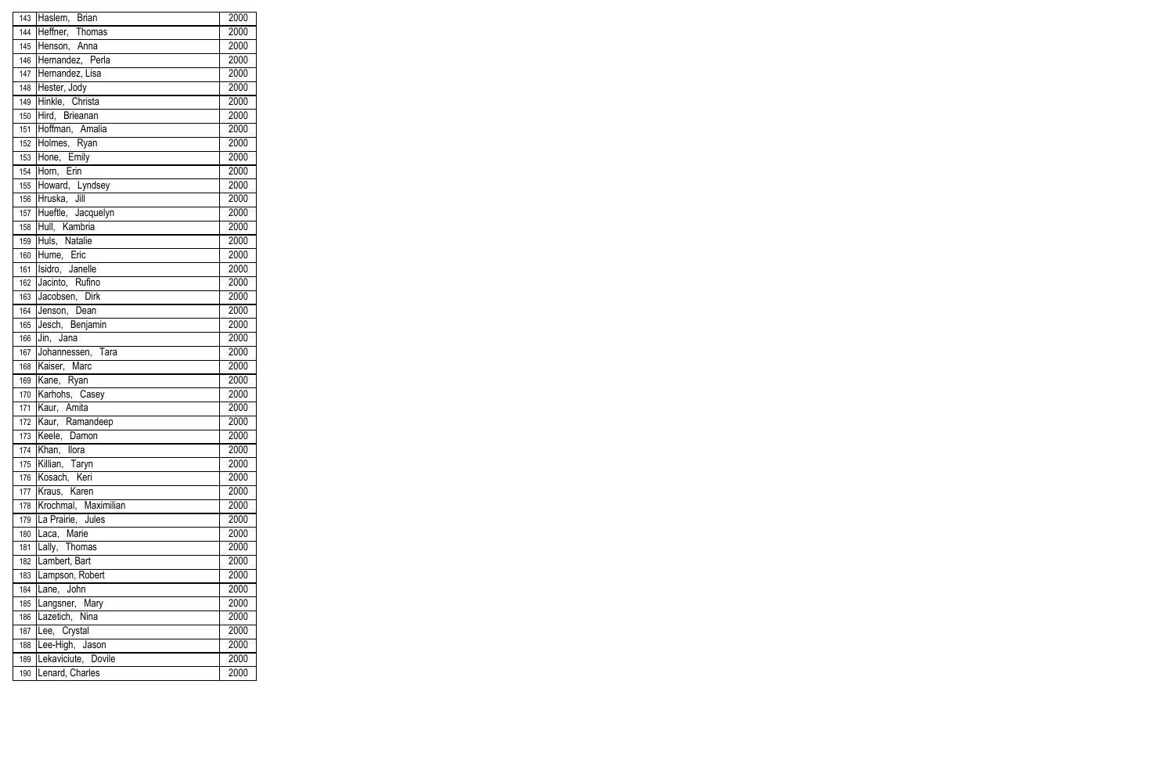| _<br>143 | Haslem, Brian        | 2000 |
|----------|----------------------|------|
| 144      | Heffner, Thomas      | 2000 |
| 145      | Henson, Anna         | 2000 |
| 146      | Hernandez, Perla     | 2000 |
|          | 147 Hernandez, Lisa  | 2000 |
|          | 148 Hester, Jody     | 2000 |
| 149      | Hinkle, Christa      | 2000 |
| 150      | Hird, Brieanan       | 2000 |
| 151      | Hoffman, Amalia      | 2000 |
| 152      | Holmes, Ryan         | 2000 |
|          | 153 Hone, Emily      | 2000 |
| 154      | Horn, Erin           | 2000 |
| 155      | Howard, Lyndsey      | 2000 |
| 156      | Hruska, Jill         | 2000 |
| 157      | Hueftle, Jacquelyn   | 2000 |
| 158      | Hull, Kambria        | 2000 |
| 159      | Huls, Natalie        | 2000 |
| 160      | Hume, Eric           | 2000 |
| 161      | Isidro, Janelle      | 2000 |
| 162      | Jacinto, Rufino      | 2000 |
| 163      | Jacobsen, Dirk       | 2000 |
| 164      | Jenson, Dean         | 2000 |
| 165      | Jesch, Benjamin      | 2000 |
| 166      | Jin, Jana            | 2000 |
| 167      | Johannessen, Tara    | 2000 |
| 168      | Kaiser, Marc         | 2000 |
| 169      | Kane, Ryan           | 2000 |
| 170      | Karhohs, Casey       | 2000 |
|          | 171 Kaur, Amita      | 2000 |
|          | 172 Kaur, Ramandeep  | 2000 |
|          | 173 Keele, Damon     | 2000 |
| 174      | Khan, Ilora          | 2000 |
| 175      | Killian, Taryn       | 2000 |
| 176      | Kosach, Keri         | 2000 |
| 177      | Kraus, Karen         | 2000 |
| 178      | Krochmal, Maximilian | 2000 |
| 179      | La Prairie, Jules    | 2000 |
| 180      | Laca, Marie          | 2000 |
| 181      | Lally, Thomas        | 2000 |
| 182      | Lambert, Bart        | 2000 |
| 183      | Lampson, Robert      | 2000 |
| 184      | Lane, John           | 2000 |
| 185      | Langsner, Mary       | 2000 |
| 186      | Lazetich, Nina       | 2000 |
| 187      | Lee, Crystal         | 2000 |
| 188      | Lee-High, Jason      | 2000 |
| 189      | Lekaviciute, Dovile  | 2000 |
| 190      | Lenard, Charles      | 2000 |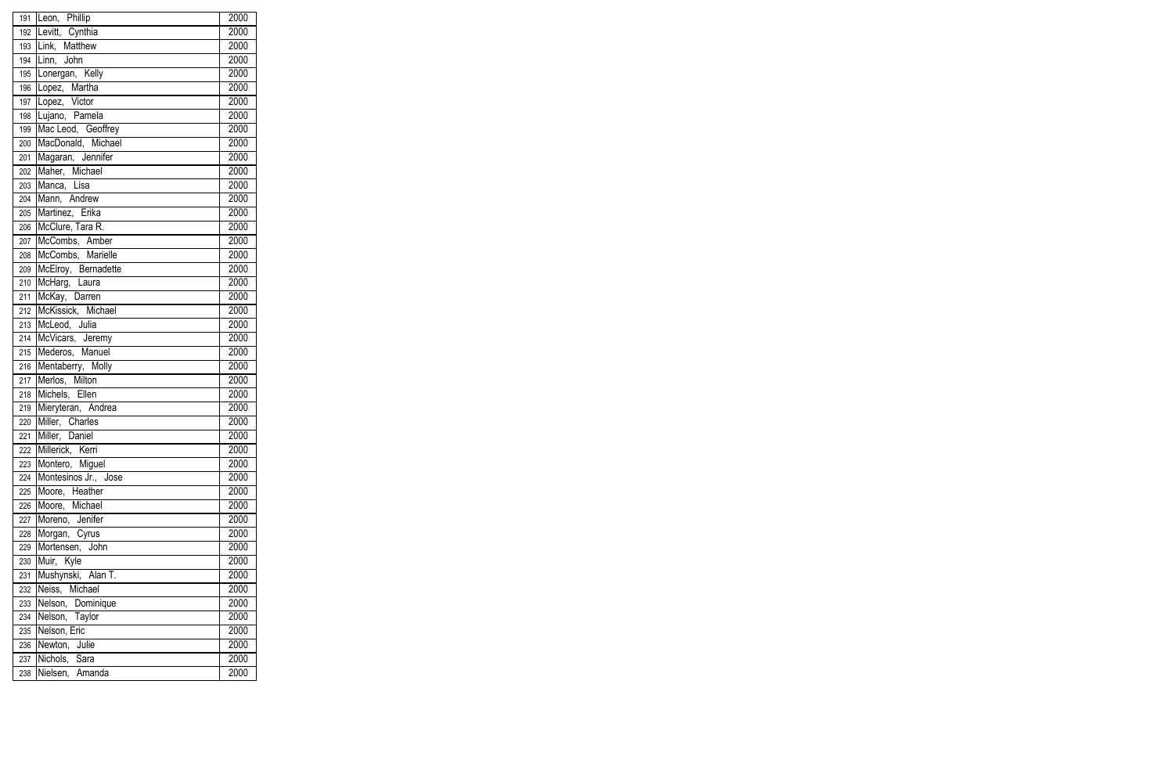|                  | 191 Leon, Phillip    | 2000 |
|------------------|----------------------|------|
| 192              | Levitt, Cynthia      | 2000 |
| 193              | Link, Matthew        | 2000 |
| 194              | Linn, John           | 2000 |
| 195              | Lonergan, Kelly      | 2000 |
|                  | 196 Lopez, Martha    | 2000 |
| 197              | Lopez, Victor        | 2000 |
| 198              | Lujano, Pamela       | 2000 |
| 199              | Mac Leod, Geoffrey   | 2000 |
| 200              | MacDonald, Michael   | 2000 |
| 201              | Magaran, Jennifer    | 2000 |
| 202              | Maher, Michael       | 2000 |
| 203              | Manca, Lisa          | 2000 |
| 204              | Mann, Andrew         | 2000 |
| 205              | Martinez, Erika      | 2000 |
| 206              | McClure, Tara R.     | 2000 |
| 207              | McCombs, Amber       | 2000 |
| 208              | McCombs, Marielle    | 2000 |
| 209              | McElroy, Bernadette  | 2000 |
| 210              | McHarg, Laura        | 2000 |
| 211              | McKay, Darren        | 2000 |
| 212              | McKissick, Michael   | 2000 |
| $\overline{213}$ | McLeod, Julia        | 2000 |
| 214              | McVicars, Jeremy     | 2000 |
| 215              | Mederos, Manuel      | 2000 |
| 216              | Mentaberry, Molly    | 2000 |
| 217              | Merlos, Milton       | 2000 |
| 218              | Michels, Ellen       | 2000 |
| 219              | Mieryteran, Andrea   | 2000 |
| 220              | Miller, Charles      | 2000 |
| 221              | Miller, Daniel       | 2000 |
| 222              | Millerick, Kerri     | 2000 |
| 223              | Montero, Miguel      | 2000 |
| 224              | Montesinos Jr., Jose | 2000 |
| 225              | Moore, Heather       | 2000 |
| 226              | Moore, Michael       | 2000 |
| 227              | Moreno, Jenifer      | 2000 |
| 228              | Morgan, Cyrus        | 2000 |
| 229              | Mortensen, John      | 2000 |
| 230              | Muir, Kyle           | 2000 |
| 231              | Mushynski, Alan T.   | 2000 |
| 232              | Neiss, Michael       | 2000 |
| 233              | Nelson, Dominique    | 2000 |
| 234              | Nelson, Taylor       | 2000 |
| 235              | Nelson, Eric         | 2000 |
| 236              | Newton, Julie        | 2000 |
| 237              | Nichols, Sara        | 2000 |
| 238              | Nielsen, Amanda      | 2000 |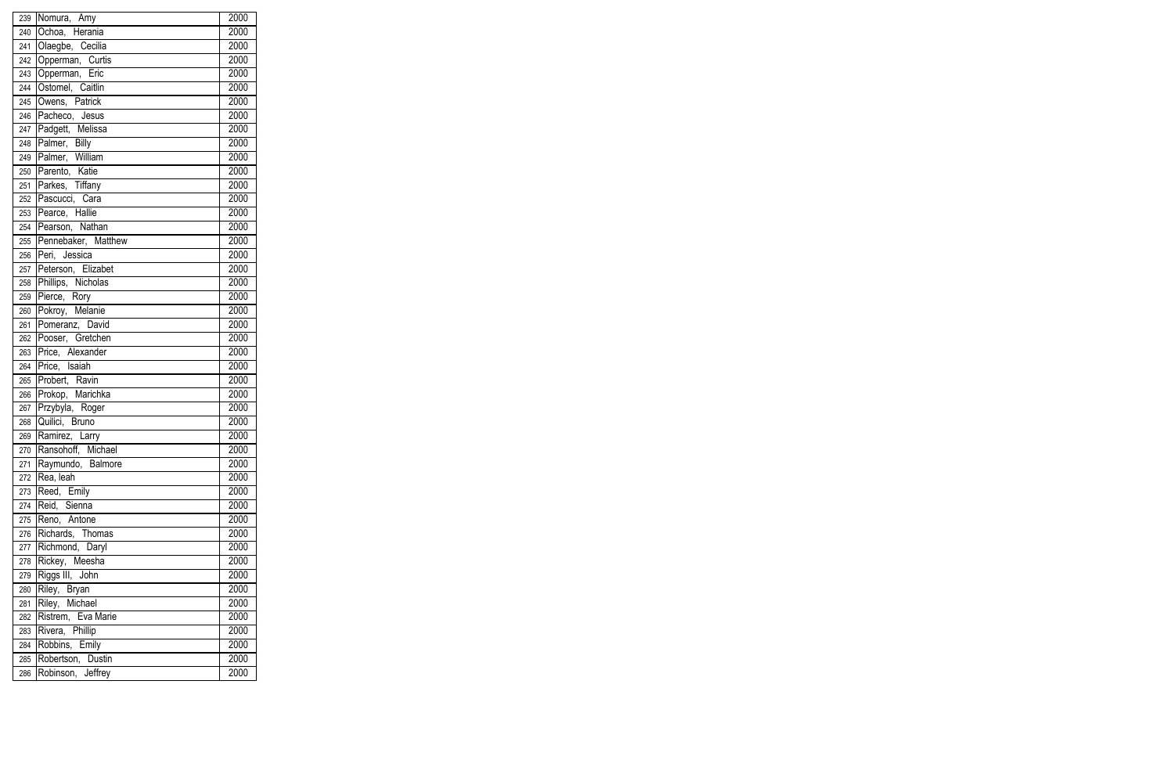| 239 | Nomura, Amy             | 2000 |
|-----|-------------------------|------|
| 240 | Ochoa, Herania          | 2000 |
| 241 | Olaegbe, Cecilia        | 2000 |
| 242 | Opperman, Curtis        | 2000 |
| 243 | Opperman, Eric          | 2000 |
| 244 | Ostomel, Caitlin        | 2000 |
| 245 | Owens, Patrick          | 2000 |
| 246 | Pacheco, Jesus          | 2000 |
| 247 | Padgett, Melissa        | 2000 |
| 248 | Palmer, Billy           | 2000 |
| 249 | Palmer, William         | 2000 |
| 250 | Parento, Katie          | 2000 |
| 251 | Parkes, Tiffany         | 2000 |
|     | 252 Pascucci, Cara      | 2000 |
| 253 | Pearce, Hallie          | 2000 |
|     | 254 Pearson, Nathan     | 2000 |
|     | 255 Pennebaker, Matthew | 2000 |
| 256 | Peri, Jessica           | 2000 |
|     | 257 Peterson, Elizabet  | 2000 |
|     | 258 Phillips, Nicholas  | 2000 |
| 259 | Pierce, Rory            | 2000 |
| 260 | Pokroy, Melanie         | 2000 |
| 261 | Pomeranz, David         | 2000 |
|     | 262 Pooser, Gretchen    | 2000 |
| 263 | Price, Alexander        | 2000 |
| 264 | Price, Isaiah           | 2000 |
| 265 | Probert, Ravin          | 2000 |
| 266 | Prokop, Marichka        | 2000 |
| 267 | Przybyla, Roger         | 2000 |
| 268 | Quilici, Bruno          | 2000 |
|     | 269 Ramirez, Larry      | 2000 |
| 270 | Ransohoff, Michael      | 2000 |
| 271 | Raymundo, Balmore       | 2000 |
| 272 | Rea, leah               | 2000 |
| 273 | Reed, Emily             | 2000 |
| 274 | Reid, Sienna            | 2000 |
| 275 | Reno, Antone            | 2000 |
| 276 | Richards, Thomas        | 2000 |
| 277 | Richmond, Daryl         | 2000 |
| 278 | Rickey, Meesha          | 2000 |
| 279 | Riggs III, John         | 2000 |
| 280 | Riley, Bryan            | 2000 |
| 281 | Riley, Michael          | 2000 |
| 282 | Ristrem, Eva Marie      | 2000 |
| 283 | Rivera, Phillip         | 2000 |
| 284 | Robbins, Emily          | 2000 |
| 285 | Robertson, Dustin       | 2000 |
| 286 | Robinson, Jeffrey       | 2000 |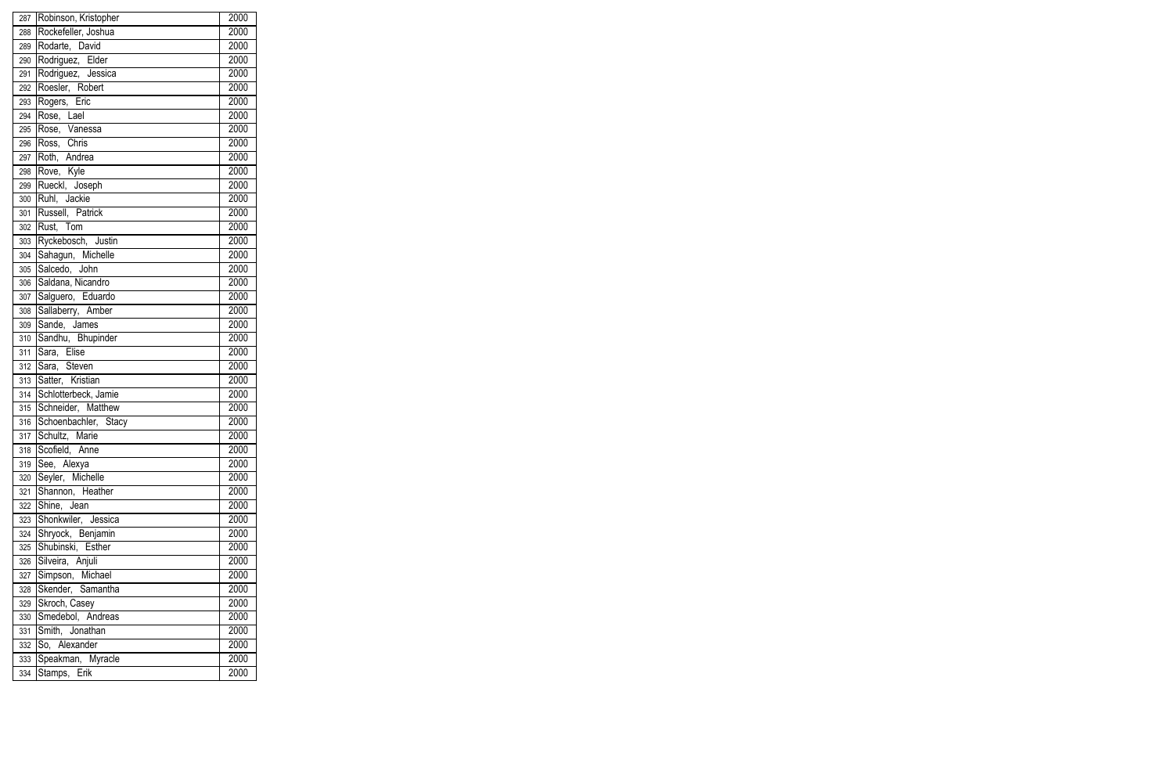| 287 | Robinson, Kristopher | 2000 |
|-----|----------------------|------|
| 288 | Rockefeller, Joshua  | 2000 |
| 289 | Rodarte, David       | 2000 |
| 290 | Rodriguez, Elder     | 2000 |
| 291 | Rodriguez, Jessica   | 2000 |
| 292 | Roesler, Robert      | 2000 |
| 293 | Rogers, Eric         | 2000 |
| 294 | Rose, Lael           | 2000 |
| 295 | Rose, Vanessa        | 2000 |
| 296 | Ross, Chris          | 2000 |
| 297 | Roth, Andrea         | 2000 |
| 298 | Rove, Kyle           | 2000 |
| 299 | Rueckl, Joseph       | 2000 |
| 300 | Ruhl, Jackie         | 2000 |
| 301 | Russell, Patrick     | 2000 |
| 302 | Rust, Tom            | 2000 |
| 303 | Ryckebosch, Justin   | 2000 |
| 304 | Sahagun, Michelle    | 2000 |
| 305 | Salcedo, John        | 2000 |
| 306 | Saldana, Nicandro    | 2000 |
| 307 | Salguero, Eduardo    | 2000 |
| 308 | Sallaberry, Amber    | 2000 |
| 309 | Sande, James         | 2000 |
| 310 | Sandhu, Bhupinder    | 2000 |
| 311 | Sara, Elise          | 2000 |
| 312 | Sara, Steven         | 2000 |
| 313 | Satter, Kristian     | 2000 |
| 314 | Schlotterbeck, Jamie | 2000 |
| 315 | Schneider, Matthew   | 2000 |
| 316 | Schoenbachler, Stacy | 2000 |
| 317 | Schultz, Marie       | 2000 |
| 318 | Scofield, Anne       | 2000 |
| 319 | See, Alexya          | 2000 |
| 320 | Seyler, Michelle     | 2000 |
| 321 | Shannon, Heather     | 2000 |
| 322 | Shine, Jean          | 2000 |
| 323 | Shonkwiler, Jessica  | 2000 |
| 324 | Shryock, Benjamin    | 2000 |
| 325 | Shubinski, Esther    | 2000 |
| 326 | Silveira, Anjuli     | 2000 |
| 327 | Simpson, Michael     | 2000 |
| 328 | Skender, Samantha    | 2000 |
| 329 | Skroch, Casey        | 2000 |
| 330 | Smedebol, Andreas    | 2000 |
| 331 | Smith, Jonathan      | 2000 |
| 332 | So, Alexander        | 2000 |
| 333 | Speakman, Myracle    | 2000 |
| 334 | Stamps, Erik         | 2000 |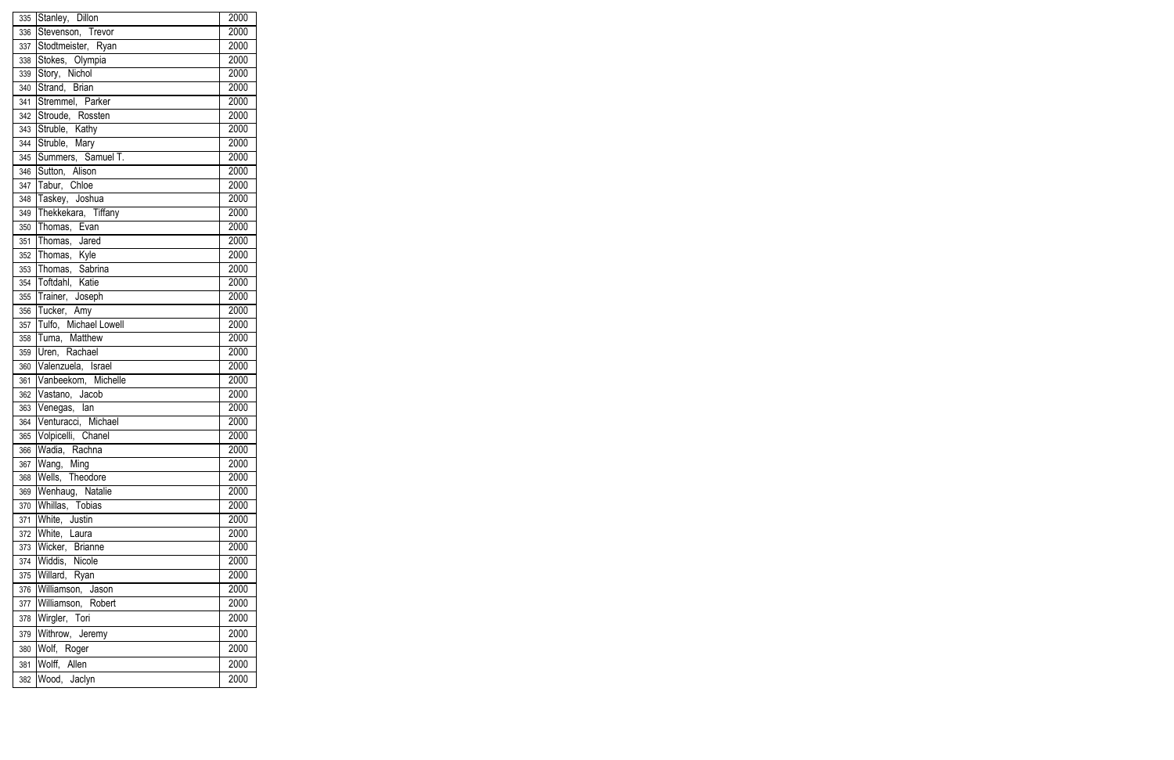|            | 335 Stanley, Dillon              | 2000             |
|------------|----------------------------------|------------------|
| 336        | Stevenson, Trevor                | 2000             |
| 337        | Stodtmeister, Ryan               | 2000             |
| 338        | Stokes, Olympia                  | 2000             |
| 339        | Story, Nichol                    | 2000             |
|            | 340 Strand, Brian                | 2000             |
| 341        | Stremmel, Parker                 | 2000             |
| 342        | Stroude, Rossten                 | 2000             |
| 343        | Struble, Kathy                   | 2000             |
| 344        | Struble, Mary                    | 2000             |
| 345        | Summers, Samuel T.               | 2000             |
| 346        | Sutton, Alison                   | 2000             |
| 347        | Tabur, Chloe                     | 2000             |
|            | 348 Taskey, Joshua               | 2000             |
|            | 349 Thekkekara, Tiffany          | 2000             |
| 350        | Thomas, Evan                     | 2000             |
| 351        | Thomas, Jared                    | 2000             |
|            | 352 Thomas, Kyle                 | 2000             |
|            | 353 Thomas, Sabrina              | $\frac{1}{2000}$ |
|            | 354 Toftdahl, Katie              | 2000             |
| 355        | Trainer, Joseph                  | 2000             |
| 356        | Tucker, Amy                      | 2000             |
| 357        | Tulfo, Michael Lowell            | 2000             |
| 358        | Tuma, Matthew                    | 2000             |
| 359        | Uren, Rachael                    | 2000             |
| 360        | Valenzuela, Israel               | 2000             |
| 361        | Vanbeekom, Michelle              | 2000             |
| 362        | Vastano, Jacob                   | 2000             |
| 363        | Venegas, lan                     | 2000             |
| 364        | Venturacci, Michael              | 2000             |
|            | 365 Volpicelli, Chanel           | 2000             |
| 366        | Wadia, Rachna                    | 2000             |
| 367        | Wang, Ming                       | 2000             |
| 368        | Wells, Theodore                  | 2000<br>2000     |
| 369        | Wenhaug, Natalie                 |                  |
| 370<br>371 | Whillas, Tobias<br>White, Justin | 2000<br>2000     |
| 372        | White, Laura                     | 2000             |
| 373        | Wicker, Brianne                  | 2000             |
| 374        | Widdis, Nicole                   | 2000             |
| 375        | Willard, Ryan                    | 2000             |
| 376        | Williamson, Jason                | 2000             |
| 377        | Williamson, Robert               | 2000             |
| 378        | Wirgler, Tori                    | 2000             |
|            |                                  |                  |
| 379        | Withrow, Jeremy                  | 2000             |
| 380        | Wolf, Roger                      | 2000             |
| 381        | Wolff, Allen                     | 2000             |
| 382        | Wood, Jaclyn                     | 2000             |